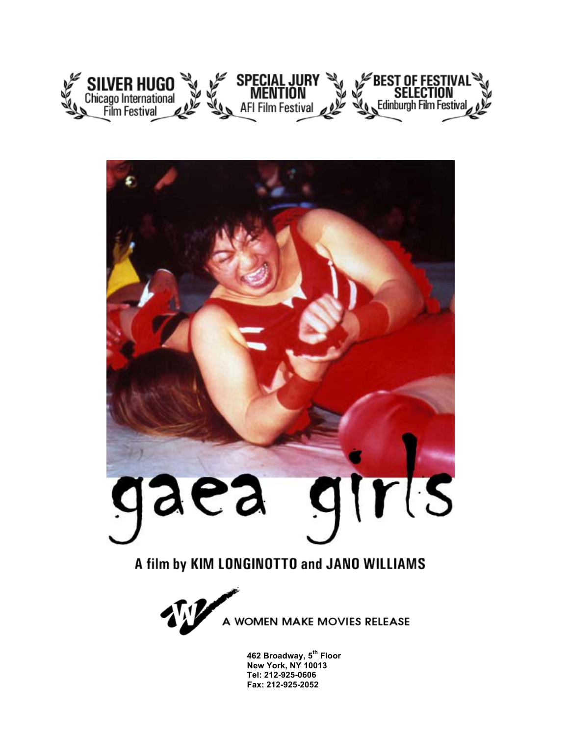



### A film by KIM LONGINOTTO and JANO WILLIAMS



**462 Broadway, 5th Floor New York, NY 10013 Tel: 212-925-0606 Fax: 212-925-2052**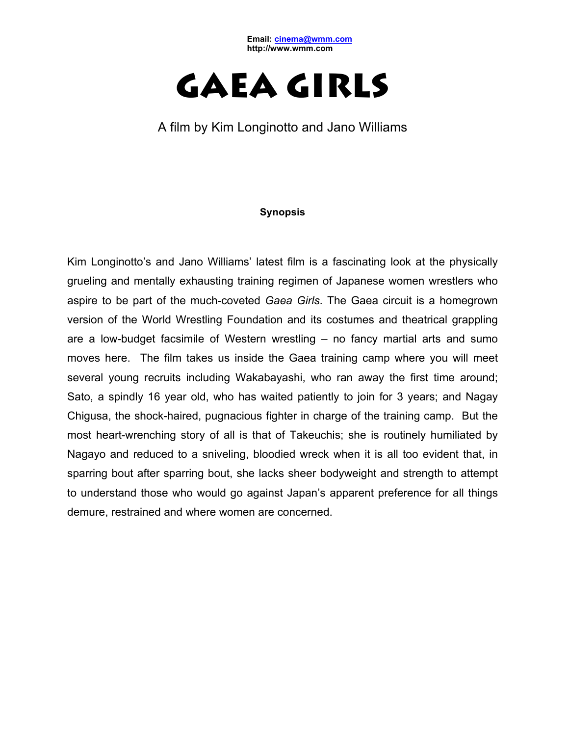**Email: cinema@wmm.com http://www.wmm.com**



A film by Kim Longinotto and Jano Williams

#### **Synopsis**

Kim Longinotto's and Jano Williams' latest film is a fascinating look at the physically grueling and mentally exhausting training regimen of Japanese women wrestlers who aspire to be part of the much-coveted *Gaea Girls*. The Gaea circuit is a homegrown version of the World Wrestling Foundation and its costumes and theatrical grappling are a low-budget facsimile of Western wrestling – no fancy martial arts and sumo moves here. The film takes us inside the Gaea training camp where you will meet several young recruits including Wakabayashi, who ran away the first time around; Sato, a spindly 16 year old, who has waited patiently to join for 3 years; and Nagay Chigusa, the shock-haired, pugnacious fighter in charge of the training camp. But the most heart-wrenching story of all is that of Takeuchis; she is routinely humiliated by Nagayo and reduced to a sniveling, bloodied wreck when it is all too evident that, in sparring bout after sparring bout, she lacks sheer bodyweight and strength to attempt to understand those who would go against Japan's apparent preference for all things demure, restrained and where women are concerned.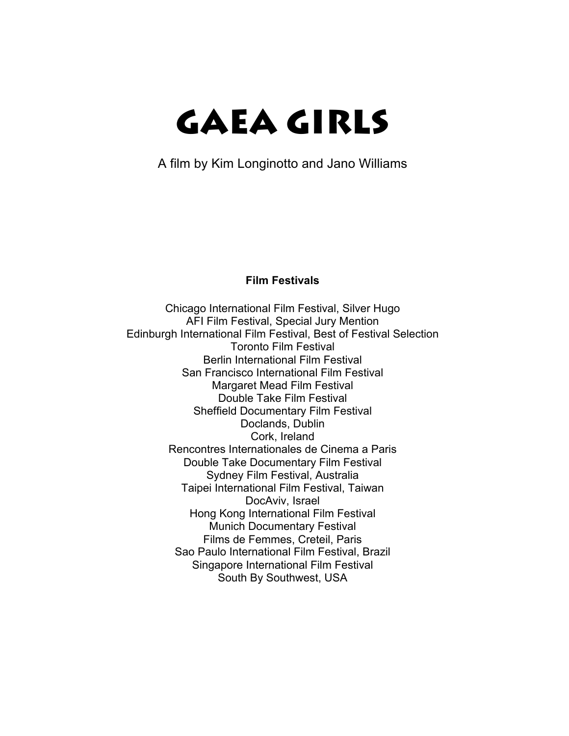A film by Kim Longinotto and Jano Williams

#### **Film Festivals**

Chicago International Film Festival, Silver Hugo AFI Film Festival, Special Jury Mention Edinburgh International Film Festival, Best of Festival Selection Toronto Film Festival Berlin International Film Festival San Francisco International Film Festival Margaret Mead Film Festival Double Take Film Festival Sheffield Documentary Film Festival Doclands, Dublin Cork, Ireland Rencontres Internationales de Cinema a Paris Double Take Documentary Film Festival Sydney Film Festival, Australia Taipei International Film Festival, Taiwan DocAviv, Israel Hong Kong International Film Festival Munich Documentary Festival Films de Femmes, Creteil, Paris Sao Paulo International Film Festival, Brazil Singapore International Film Festival South By Southwest, USA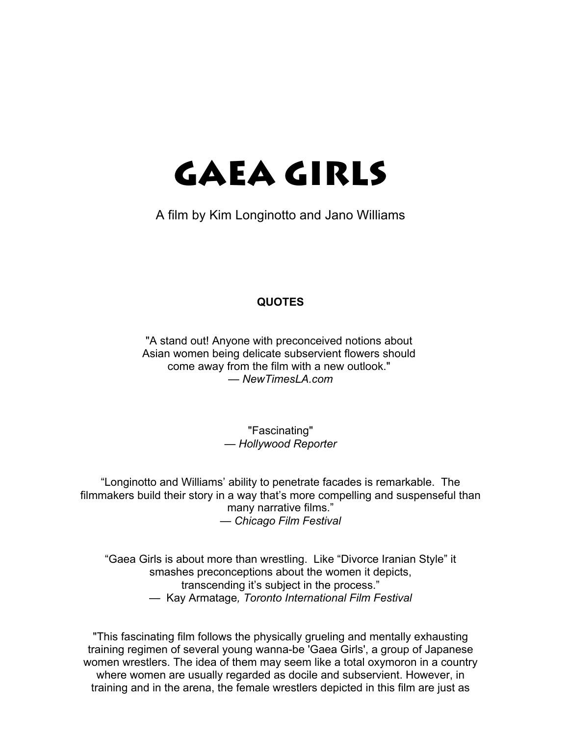A film by Kim Longinotto and Jano Williams

#### **QUOTES**

"A stand out! Anyone with preconceived notions about Asian women being delicate subservient flowers should come away from the film with a new outlook." *— NewTimesLA.com*

> "Fascinating" *— Hollywood Reporter*

"Longinotto and Williams' ability to penetrate facades is remarkable. The filmmakers build their story in a way that's more compelling and suspenseful than many narrative films." *— Chicago Film Festival*

"Gaea Girls is about more than wrestling. Like "Divorce Iranian Style" it smashes preconceptions about the women it depicts, transcending it's subject in the process." — Kay Armatage*, Toronto International Film Festival*

"This fascinating film follows the physically grueling and mentally exhausting training regimen of several young wanna-be 'Gaea Girls', a group of Japanese women wrestlers. The idea of them may seem like a total oxymoron in a country where women are usually regarded as docile and subservient. However, in training and in the arena, the female wrestlers depicted in this film are just as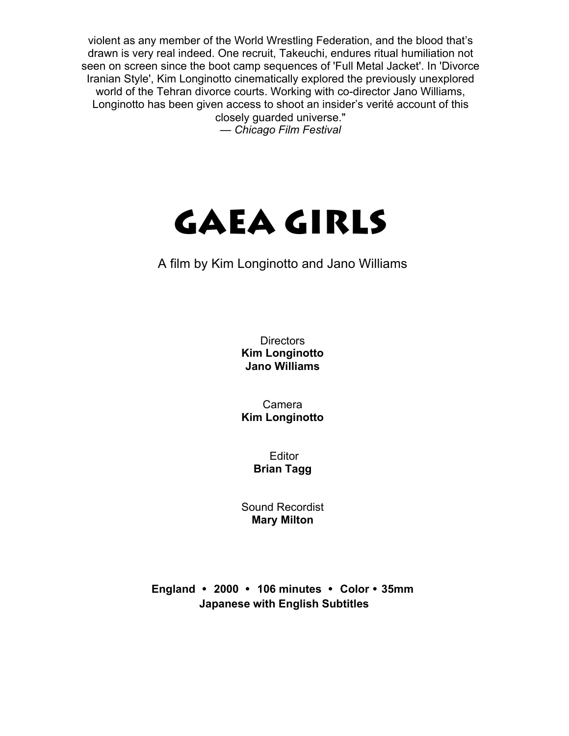violent as any member of the World Wrestling Federation, and the blood that's drawn is very real indeed. One recruit, Takeuchi, endures ritual humiliation not seen on screen since the boot camp sequences of 'Full Metal Jacket'. In 'Divorce Iranian Style', Kim Longinotto cinematically explored the previously unexplored world of the Tehran divorce courts. Working with co-director Jano Williams, Longinotto has been given access to shoot an insider's verité account of this closely guarded universe."

*— Chicago Film Festival*

# GAEA GIRLS

### A film by Kim Longinotto and Jano Williams

**Directors Kim Longinotto Jano Williams**

Camera **Kim Longinotto**

> Editor **Brian Tagg**

Sound Recordist **Mary Milton**

**England** • **2000** • **106 minutes** • **Color** • **35mm Japanese with English Subtitles**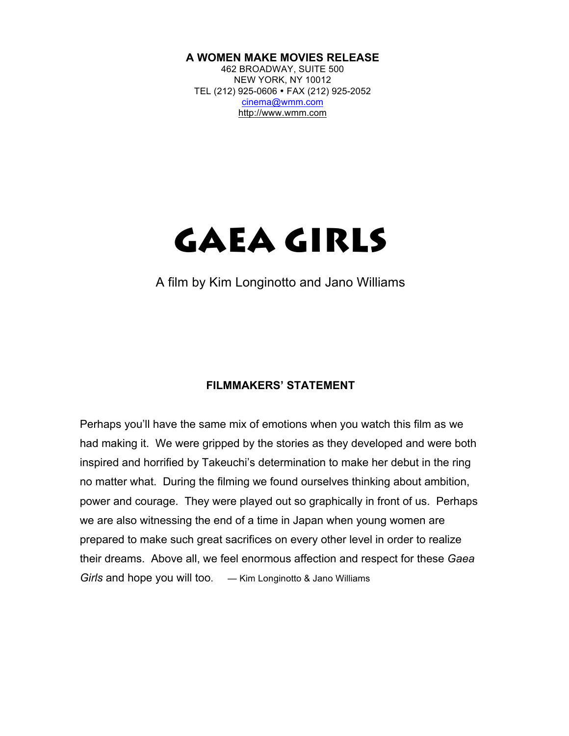#### **A WOMEN MAKE MOVIES RELEASE**

462 BROADWAY, SUITE 500 NEW YORK, NY 10012 TEL (212) 925-0606 • FAX (212) 925-2052 cinema@wmm.com http://www.wmm.com

## GAEA GIRLS

A film by Kim Longinotto and Jano Williams

#### **FILMMAKERS' STATEMENT**

Perhaps you'll have the same mix of emotions when you watch this film as we had making it. We were gripped by the stories as they developed and were both inspired and horrified by Takeuchi's determination to make her debut in the ring no matter what. During the filming we found ourselves thinking about ambition, power and courage. They were played out so graphically in front of us. Perhaps we are also witnessing the end of a time in Japan when young women are prepared to make such great sacrifices on every other level in order to realize their dreams. Above all, we feel enormous affection and respect for these *Gaea Girls* and hope you will too. *—* Kim Longinotto & Jano Williams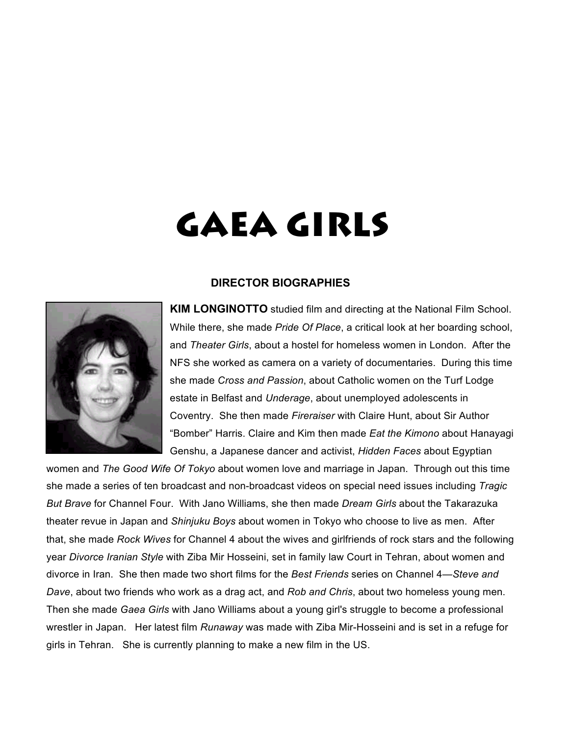

#### **DIRECTOR BIOGRAPHIES**

**KIM LONGINOTTO** studied film and directing at the National Film School. While there, she made *Pride Of Place*, a critical look at her boarding school, and *Theater Girls*, about a hostel for homeless women in London. After the NFS she worked as camera on a variety of documentaries. During this time she made *Cross and Passion*, about Catholic women on the Turf Lodge estate in Belfast and *Underage*, about unemployed adolescents in Coventry. She then made *Fireraiser* with Claire Hunt, about Sir Author "Bomber" Harris. Claire and Kim then made *Eat the Kimono* about Hanayagi Genshu, a Japanese dancer and activist, *Hidden Faces* about Egyptian

women and *The Good Wife Of Tokyo* about women love and marriage in Japan. Through out this time she made a series of ten broadcast and non-broadcast videos on special need issues including *Tragic But Brave* for Channel Four. With Jano Williams, she then made *Dream Girls* about the Takarazuka theater revue in Japan and *Shinjuku Boys* about women in Tokyo who choose to live as men. After that, she made *Rock Wives* for Channel 4 about the wives and girlfriends of rock stars and the following year *Divorce Iranian Style* with Ziba Mir Hosseini, set in family law Court in Tehran, about women and divorce in Iran. She then made two short films for the *Best Friends* series on Channel 4—*Steve and Dave*, about two friends who work as a drag act, and *Rob and Chris*, about two homeless young men. Then she made *Gaea Girls* with Jano Williams about a young girl's struggle to become a professional wrestler in Japan. Her latest film *Runaway* was made with Ziba Mir-Hosseini and is set in a refuge for girls in Tehran. She is currently planning to make a new film in the US.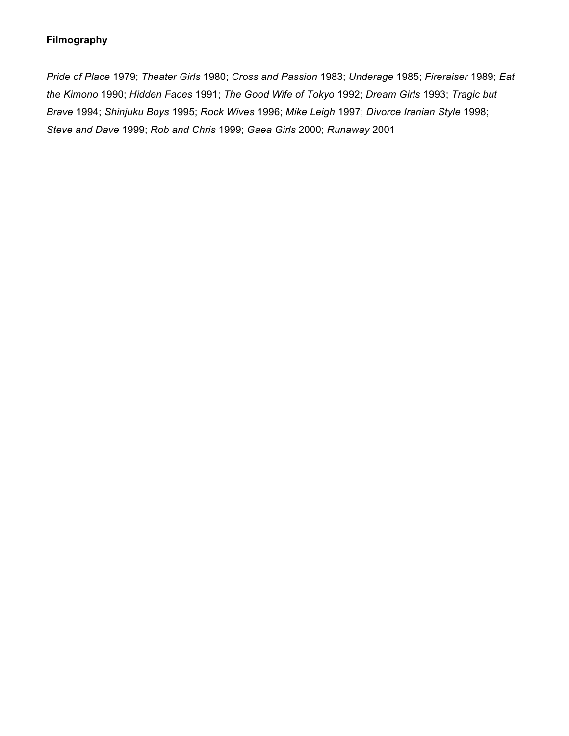#### **Filmography**

*Pride of Place* 1979; *Theater Girls* 1980; *Cross and Passion* 1983; *Underage* 1985; *Fireraiser* 1989; *Eat the Kimono* 1990; *Hidden Faces* 1991; *The Good Wife of Tokyo* 1992; *Dream Girls* 1993; *Tragic but Brave* 1994; *Shinjuku Boys* 1995; *Rock Wives* 1996; *Mike Leigh* 1997; *Divorce Iranian Style* 1998; *Steve and Dave* 1999; *Rob and Chris* 1999; *Gaea Girls* 2000; *Runaway* 2001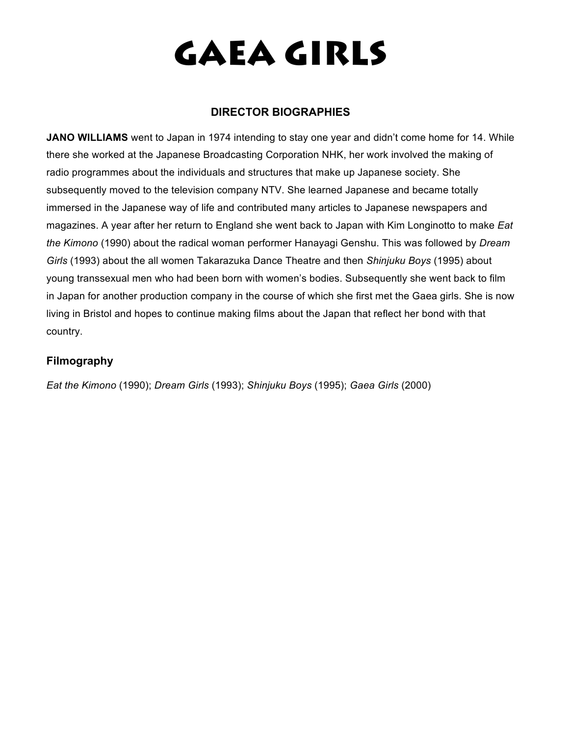#### **DIRECTOR BIOGRAPHIES**

**JANO WILLIAMS** went to Japan in 1974 intending to stay one year and didn't come home for 14. While there she worked at the Japanese Broadcasting Corporation NHK, her work involved the making of radio programmes about the individuals and structures that make up Japanese society. She subsequently moved to the television company NTV. She learned Japanese and became totally immersed in the Japanese way of life and contributed many articles to Japanese newspapers and magazines. A year after her return to England she went back to Japan with Kim Longinotto to make *Eat the Kimono* (1990) about the radical woman performer Hanayagi Genshu. This was followed by *Dream Girls* (1993) about the all women Takarazuka Dance Theatre and then *Shinjuku Boys* (1995) about young transsexual men who had been born with women's bodies. Subsequently she went back to film in Japan for another production company in the course of which she first met the Gaea girls. She is now living in Bristol and hopes to continue making films about the Japan that reflect her bond with that country.

#### **Filmography**

*Eat the Kimono* (1990); *Dream Girls* (1993); *Shinjuku Boys* (1995); *Gaea Girls* (2000)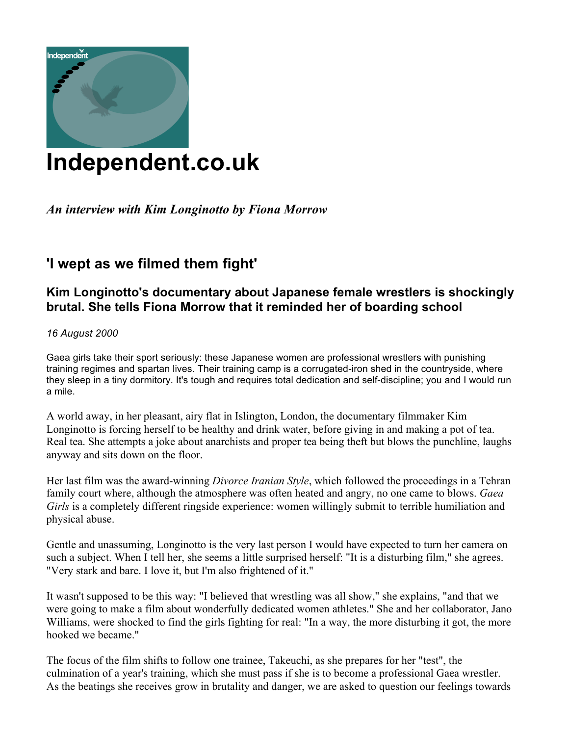

### **Independent.co.uk**

### *An interview with Kim Longinotto by Fiona Morrow*

### **'I wept as we filmed them fight'**

### **Kim Longinotto's documentary about Japanese female wrestlers is shockingly brutal. She tells Fiona Morrow that it reminded her of boarding school**

#### *16 August 2000*

Gaea girls take their sport seriously: these Japanese women are professional wrestlers with punishing training regimes and spartan lives. Their training camp is a corrugated-iron shed in the countryside, where they sleep in a tiny dormitory. It's tough and requires total dedication and self-discipline; you and I would run a mile.

A world away, in her pleasant, airy flat in Islington, London, the documentary filmmaker Kim Longinotto is forcing herself to be healthy and drink water, before giving in and making a pot of tea. Real tea. She attempts a joke about anarchists and proper tea being theft but blows the punchline, laughs anyway and sits down on the floor.

Her last film was the award-winning *Divorce Iranian Style*, which followed the proceedings in a Tehran family court where, although the atmosphere was often heated and angry, no one came to blows. *Gaea Girls* is a completely different ringside experience: women willingly submit to terrible humiliation and physical abuse.

Gentle and unassuming, Longinotto is the very last person I would have expected to turn her camera on such a subject. When I tell her, she seems a little surprised herself: "It is a disturbing film," she agrees. "Very stark and bare. I love it, but I'm also frightened of it."

It wasn't supposed to be this way: "I believed that wrestling was all show," she explains, "and that we were going to make a film about wonderfully dedicated women athletes." She and her collaborator, Jano Williams, were shocked to find the girls fighting for real: "In a way, the more disturbing it got, the more hooked we became."

The focus of the film shifts to follow one trainee, Takeuchi, as she prepares for her "test", the culmination of a year's training, which she must pass if she is to become a professional Gaea wrestler. As the beatings she receives grow in brutality and danger, we are asked to question our feelings towards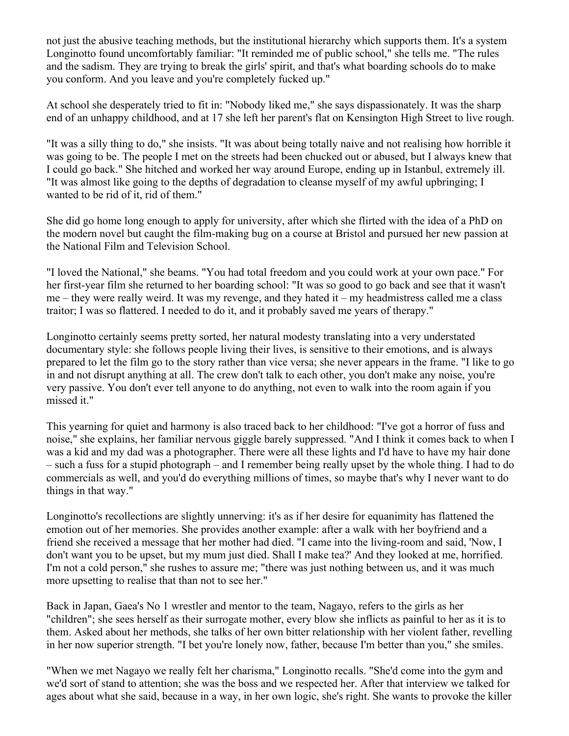not just the abusive teaching methods, but the institutional hierarchy which supports them. It's a system Longinotto found uncomfortably familiar: "It reminded me of public school," she tells me. "The rules and the sadism. They are trying to break the girls' spirit, and that's what boarding schools do to make you conform. And you leave and you're completely fucked up."

At school she desperately tried to fit in: "Nobody liked me," she says dispassionately. It was the sharp end of an unhappy childhood, and at 17 she left her parent's flat on Kensington High Street to live rough.

"It was a silly thing to do," she insists. "It was about being totally naive and not realising how horrible it was going to be. The people I met on the streets had been chucked out or abused, but I always knew that I could go back." She hitched and worked her way around Europe, ending up in Istanbul, extremely ill. "It was almost like going to the depths of degradation to cleanse myself of my awful upbringing; I wanted to be rid of it, rid of them."

She did go home long enough to apply for university, after which she flirted with the idea of a PhD on the modern novel but caught the film-making bug on a course at Bristol and pursued her new passion at the National Film and Television School.

"I loved the National," she beams. "You had total freedom and you could work at your own pace." For her first-year film she returned to her boarding school: "It was so good to go back and see that it wasn't me – they were really weird. It was my revenge, and they hated it – my headmistress called me a class traitor; I was so flattered. I needed to do it, and it probably saved me years of therapy."

Longinotto certainly seems pretty sorted, her natural modesty translating into a very understated documentary style: she follows people living their lives, is sensitive to their emotions, and is always prepared to let the film go to the story rather than vice versa; she never appears in the frame. "I like to go in and not disrupt anything at all. The crew don't talk to each other, you don't make any noise, you're very passive. You don't ever tell anyone to do anything, not even to walk into the room again if you missed it."

This yearning for quiet and harmony is also traced back to her childhood: "I've got a horror of fuss and noise," she explains, her familiar nervous giggle barely suppressed. "And I think it comes back to when I was a kid and my dad was a photographer. There were all these lights and I'd have to have my hair done – such a fuss for a stupid photograph – and I remember being really upset by the whole thing. I had to do commercials as well, and you'd do everything millions of times, so maybe that's why I never want to do things in that way."

Longinotto's recollections are slightly unnerving: it's as if her desire for equanimity has flattened the emotion out of her memories. She provides another example: after a walk with her boyfriend and a friend she received a message that her mother had died. "I came into the living-room and said, 'Now, I don't want you to be upset, but my mum just died. Shall I make tea?' And they looked at me, horrified. I'm not a cold person," she rushes to assure me; "there was just nothing between us, and it was much more upsetting to realise that than not to see her."

Back in Japan, Gaea's No 1 wrestler and mentor to the team, Nagayo, refers to the girls as her "children"; she sees herself as their surrogate mother, every blow she inflicts as painful to her as it is to them. Asked about her methods, she talks of her own bitter relationship with her violent father, revelling in her now superior strength. "I bet you're lonely now, father, because I'm better than you," she smiles.

"When we met Nagayo we really felt her charisma," Longinotto recalls. "She'd come into the gym and we'd sort of stand to attention; she was the boss and we respected her. After that interview we talked for ages about what she said, because in a way, in her own logic, she's right. She wants to provoke the killer